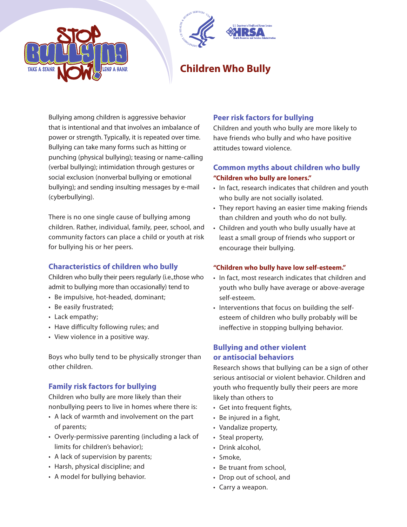



# **Children Who Bully**

Bullying among children is aggressive behavior that is intentional and that involves an imbalance of power or strength. Typically, it is repeated over time. Bullying can take many forms such as hitting or punching (physical bullying); teasing or name-calling (verbal bullying); intimidation through gestures or social exclusion (nonverbal bullying or emotional bullying); and sending insulting messages by e-mail (cyberbullying).

There is no one single cause of bullying among children. Rather, individual, family, peer, school, and community factors can place a child or youth at risk for bullying his or her peers.

## **Characteristics of children who bully**

Children who bully their peers regularly (i.e.,those who admit to bullying more than occasionally) tend to

- Be impulsive, hot-headed, dominant;
- Be easily frustrated;
- Lack empathy;
- Have difficulty following rules; and
- View violence in a positive way.

Boys who bully tend to be physically stronger than other children.

## **Family risk factors for bullying**

Children who bully are more likely than their nonbullying peers to live in homes where there is:

- A lack of warmth and involvement on the part of parents;
- Overly-permissive parenting (including a lack of limits for children's behavior);
- A lack of supervision by parents;
- Harsh, physical discipline; and
- A model for bullying behavior.

## **Peer risk factors for bullying**

Children and youth who bully are more likely to have friends who bully and who have positive attitudes toward violence.

## **Common myths about children who bully "Children who bully are loners."**

- In fact, research indicates that children and youth who bully are not socially isolated.
- They report having an easier time making friends than children and youth who do not bully.
- Children and youth who bully usually have at least a small group of friends who support or encourage their bullying.

### **"Children who bully have low self-esteem."**

- In fact, most research indicates that children and youth who bully have average or above-average self-esteem.
- Interventions that focus on building the selfesteem of children who bully probably will be ineffective in stopping bullying behavior.

## **Bullying and other violent or antisocial behaviors**

Research shows that bullying can be a sign of other serious antisocial or violent behavior. Children and youth who frequently bully their peers are more likely than others to

- Get into frequent fights,
- Be injured in a fight,
- Vandalize property,
- Steal property,
- Drink alcohol,
- Smoke,
- Be truant from school,
- Drop out of school, and
- Carry a weapon.